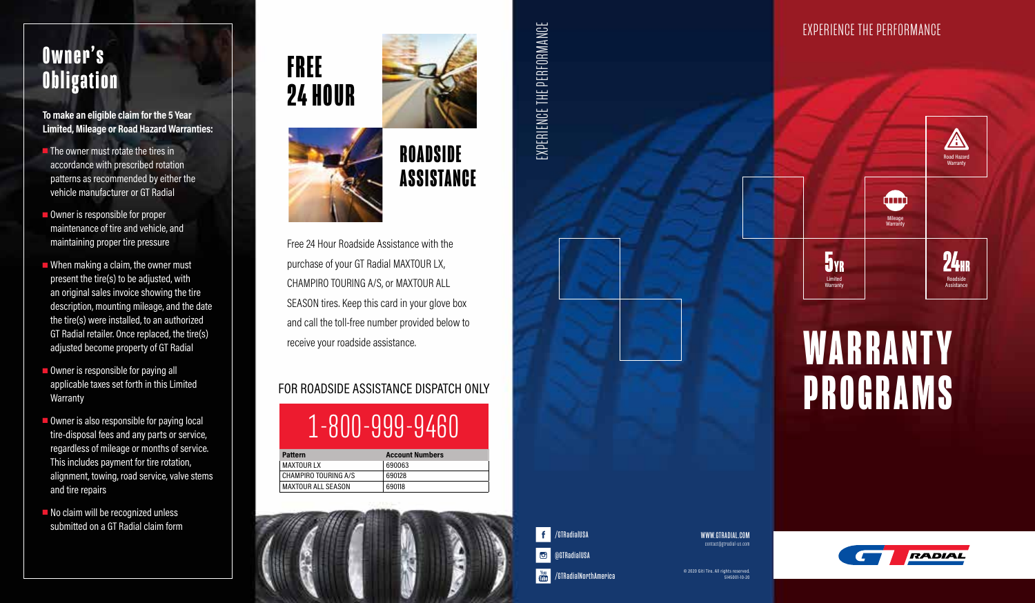## **Owner's Obligation**

#### **To make an eligible claim for the 5 Year Limited, Mileage or Road Hazard Warranties:**

- $\blacksquare$  The owner must rotate the tires in accordance with prescribed rotation patterns as recommended by either the vehicle manufacturer or GT Radial
- Owner is responsible for proper maintenance of tire and vehicle, and maintaining proper tire pressure
- $\blacksquare$  When making a claim, the owner must present the tire(s) to be adjusted, with an original sales invoice showing the tire description, mounting mileage, and the date the tire(s) were installed, to an authorized GT Radial retailer. Once replaced, the tire(s) adjusted become property of GT Radial
- Owner is responsible for paying all applicable taxes set forth in this Limited Warranty
- Owner is also responsible for paying local tire-disposal fees and any parts or service, regardless of mileage or months of service. This includes payment for tire rotation, alignment, towing, road service, valve stems and tire repairs
- No claim will be recognized unless submitted on a GT Radial claim form



EXPERIENCE THE PERFORMANCE

:XPERIENCE THE PERFORMANCE

**FREE**

**24 HOUR**



Free 24 Hour Roadside Assistance with the purchase of your GT Radial MAXTOUR LX, CHAMPIRO TOURING A/S, or MAXTOUR ALL SEASON tires. Keep this card in your glove box and call the toll-free number provided below to receive your roadside assistance.

## FOR ROADSIDE ASSISTANCE DISPATCH ONLY

1-800-999-9460

| <b>Account Numbers</b> |
|------------------------|
|                        |
| 690063                 |
| 690128                 |
| 690118                 |
|                        |



## EXPERIENCE THE PERFORMANCE



# **WARRANTY PROGRAMS**



**You** [/GTRadialNorthAmerica](https://www.youtube.com/GTRadialNorthAmerica)

 $\bullet$ 

[WWW.GTRADIAL.COM](http://www.gtradial.com) [contact@gtradial-us.com](mailto:contact@gtradial-us.com)